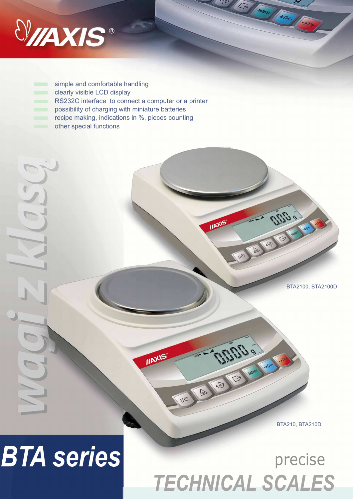

simple and comfortable handling clearly visible LCD display m. RS232C interface to connect a computer or a printer possibility of charging with miniature batteries recipe making, indications in %, pieces counting other special functions



THUS

NO A COVE

**IIAXIS** 

BTA210, BTA210D

## **BTA series** precise

## *TECHNICAL SCALES*

**OLITICAL** 

**IIAXIS** 

UN